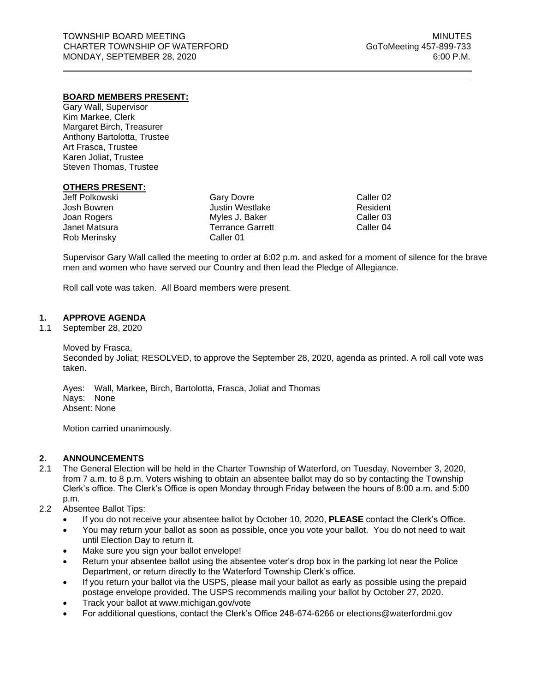# **BOARD MEMBERS PRESENT:**

Gary Wall, Supervisor Kim Markee, Clerk Margaret Birch, Treasurer Anthony Bartolotta, Trustee Art Frasca, Trustee Karen Joliat, Trustee Steven Thomas, Trustee

## **OTHERS PRESENT:**

Jeff Polkowski Josh Bowren Joan Rogers Janet Matsura Rob Merinsky

Gary Dovre Justin Westlake Myles J. Baker Terrance Garrett Caller 01

Caller 02 Resident Caller 03 Caller 04

Supervisor Gary Wall called the meeting to order at 6:02 p.m. and asked for a moment of silence for the brave men and women who have served our Country and then lead the Pledge of Allegiance.

Roll call vote was taken. All Board members were present.

# **1. APPROVE AGENDA**

1.1 September 28, 2020

Moved by Frasca,

Seconded by Joliat; RESOLVED, to approve the September 28, 2020, agenda as printed. A roll call vote was taken.

Ayes: Wall, Markee, Birch, Bartolotta, Frasca, Joliat and Thomas Nays: None Absent: None

Motion carried unanimously.

# **2. ANNOUNCEMENTS**

- 2.1 The General Election will be held in the Charter Township of Waterford, on Tuesday, November 3, 2020, from 7 a.m. to 8 p.m. Voters wishing to obtain an absentee ballot may do so by contacting the Township Clerk's office. The Clerk's Office is open Monday through Friday between the hours of 8:00 a.m. and 5:00 p.m.
- 2.2 Absentee Ballot Tips:
	- If you do not receive your absentee ballot by October 10, 2020, **PLEASE** contact the Clerk's Office.
	- You may return your ballot as soon as possible, once you vote your ballot. You do not need to wait until Election Day to return it.
	- Make sure you sign your ballot envelope!
	- Return your absentee ballot using the absentee voter's drop box in the parking lot near the Police Department, or return directly to the Waterford Township Clerk's office.
	- If you return your ballot via the USPS, please mail your ballot as early as possible using the prepaid postage envelope provided. The USPS recommends mailing your ballot by October 27, 2020.
	- Track your ballot at www.michigan.gov/vote
	- For additional questions, contact the Clerk's Office 248-674-6266 or [elections@waterfordmi.gov](mailto:elections@waterfordmi.gov)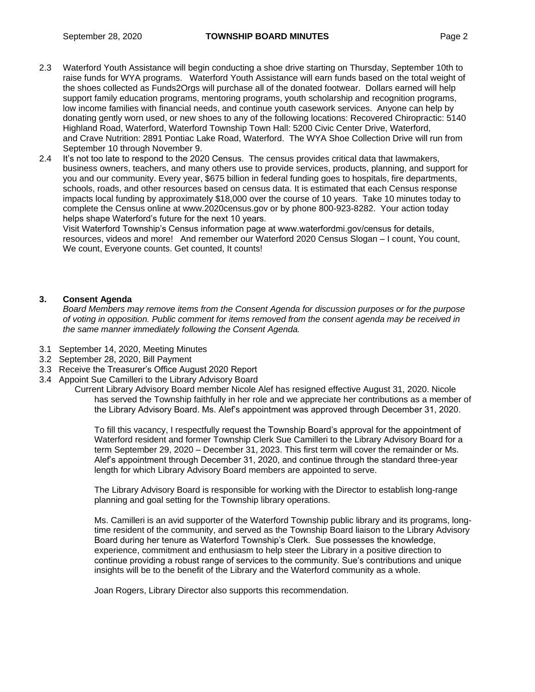- 2.3 Waterford Youth Assistance will begin conducting a shoe drive starting on Thursday, September 10th to raise funds for WYA programs. Waterford Youth Assistance will earn funds based on the total weight of the shoes collected as Funds2Orgs will purchase all of the donated footwear. Dollars earned will help support family education programs, mentoring programs, youth scholarship and recognition programs, low income families with financial needs, and continue youth casework services. Anyone can help by donating gently worn used, or new shoes to any of the following locations: Recovered Chiropractic: 5140 Highland Road, Waterford, Waterford Township Town Hall: 5200 Civic Center Drive, Waterford, and Crave Nutrition: 2891 Pontiac Lake Road, Waterford. The WYA Shoe Collection Drive will run from September 10 through November 9.
- 2.4 It's not too late to respond to the 2020 Census. The census provides critical data that lawmakers, business owners, teachers, and many others use to provide services, products, planning, and support for you and our community. Every year, \$675 billion in federal funding goes to hospitals, fire departments, schools, roads, and other resources based on census data. It is estimated that each Census response impacts local funding by approximately \$18,000 over the course of 10 years. Take 10 minutes today to complete the Census online at www.2020census.gov or by phone 800-923-8282. Your action today helps shape Waterford's future for the next 10 years.

Visit Waterford Township's Census information page at www.waterfordmi.gov/census for details, resources, videos and more! And remember our Waterford 2020 Census Slogan – I count, You count, We count, Everyone counts. Get counted, It counts!

## **3. Consent Agenda**

*Board Members may remove items from the Consent Agenda for discussion purposes or for the purpose of voting in opposition. Public comment for items removed from the consent agenda may be received in the same manner immediately following the Consent Agenda.*

- 3.1 September 14, 2020, Meeting Minutes
- 3.2 September 28, 2020, Bill Payment
- 3.3 Receive the Treasurer's Office August 2020 Report
- 3.4 Appoint Sue Camilleri to the Library Advisory Board

Current Library Advisory Board member Nicole Alef has resigned effective August 31, 2020. Nicole has served the Township faithfully in her role and we appreciate her contributions as a member of the Library Advisory Board. Ms. Alef's appointment was approved through December 31, 2020.

To fill this vacancy, I respectfully request the Township Board's approval for the appointment of Waterford resident and former Township Clerk Sue Camilleri to the Library Advisory Board for a term September 29, 2020 – December 31, 2023. This first term will cover the remainder or Ms. Alef's appointment through December 31, 2020, and continue through the standard three-year length for which Library Advisory Board members are appointed to serve.

The Library Advisory Board is responsible for working with the Director to establish long-range planning and goal setting for the Township library operations.

Ms. Camilleri is an avid supporter of the Waterford Township public library and its programs, longtime resident of the community, and served as the Township Board liaison to the Library Advisory Board during her tenure as Waterford Township's Clerk. Sue possesses the knowledge, experience, commitment and enthusiasm to help steer the Library in a positive direction to continue providing a robust range of services to the community. Sue's contributions and unique insights will be to the benefit of the Library and the Waterford community as a whole.

Joan Rogers, Library Director also supports this recommendation.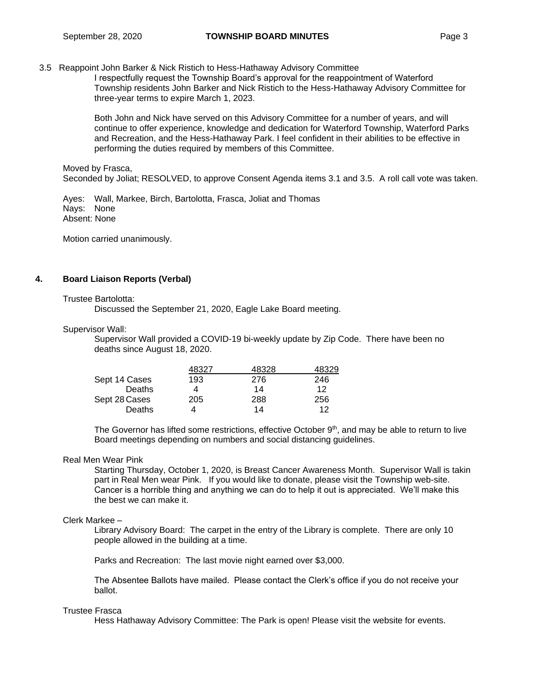3.5 Reappoint John Barker & Nick Ristich to Hess-Hathaway Advisory Committee

I respectfully request the Township Board's approval for the reappointment of Waterford Township residents John Barker and Nick Ristich to the Hess-Hathaway Advisory Committee for three-year terms to expire March 1, 2023.

Both John and Nick have served on this Advisory Committee for a number of years, and will continue to offer experience, knowledge and dedication for Waterford Township, Waterford Parks and Recreation, and the Hess-Hathaway Park. I feel confident in their abilities to be effective in performing the duties required by members of this Committee.

Moved by Frasca, Seconded by Joliat; RESOLVED, to approve Consent Agenda items 3.1 and 3.5. A roll call vote was taken.

Ayes: Wall, Markee, Birch, Bartolotta, Frasca, Joliat and Thomas Nays: None Absent: None

Motion carried unanimously.

# **4. Board Liaison Reports (Verbal)**

#### Trustee Bartolotta:

Discussed the September 21, 2020, Eagle Lake Board meeting.

#### Supervisor Wall:

Supervisor Wall provided a COVID-19 bi-weekly update by Zip Code. There have been no deaths since August 18, 2020.

|               | 48327 | 48328 | 48329 |
|---------------|-------|-------|-------|
| Sept 14 Cases | 193   | 276   | 246   |
| Deaths        |       | 14    | 12    |
| Sept 28 Cases | 205   | 288   | 256   |
| Deaths        | 4     | 14    | 12    |

The Governor has lifted some restrictions, effective October  $9<sup>th</sup>$ , and may be able to return to live Board meetings depending on numbers and social distancing guidelines.

## Real Men Wear Pink

Starting Thursday, October 1, 2020, is Breast Cancer Awareness Month. Supervisor Wall is takin part in Real Men wear Pink. If you would like to donate, please visit the Township web-site. Cancer is a horrible thing and anything we can do to help it out is appreciated. We'll make this the best we can make it.

## Clerk Markee –

Library Advisory Board: The carpet in the entry of the Library is complete. There are only 10 people allowed in the building at a time.

Parks and Recreation: The last movie night earned over \$3,000.

The Absentee Ballots have mailed. Please contact the Clerk's office if you do not receive your ballot.

## Trustee Frasca

Hess Hathaway Advisory Committee: The Park is open! Please visit the website for events.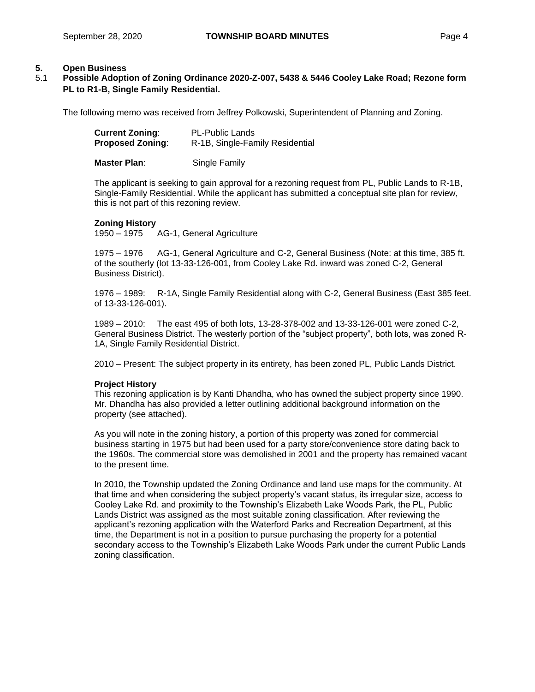# **5. Open Business**

5.1 **Possible Adoption of Zoning Ordinance 2020-Z-007, 5438 & 5446 Cooley Lake Road; Rezone form PL to R1-B, Single Family Residential.**

The following memo was received from Jeffrey Polkowski, Superintendent of Planning and Zoning.

| <b>Current Zoning:</b>  | <b>PL-Public Lands</b>          |
|-------------------------|---------------------------------|
| <b>Proposed Zoning:</b> | R-1B, Single-Family Residential |
|                         |                                 |

**Master Plan:** Single Family

The applicant is seeking to gain approval for a rezoning request from PL, Public Lands to R-1B, Single-Family Residential. While the applicant has submitted a conceptual site plan for review, this is not part of this rezoning review.

## **Zoning History**

1950 – 1975 AG-1, General Agriculture

1975 – 1976 AG-1, General Agriculture and C-2, General Business (Note: at this time, 385 ft. of the southerly (lot 13-33-126-001, from Cooley Lake Rd. inward was zoned C-2, General Business District).

1976 – 1989: R-1A, Single Family Residential along with C-2, General Business (East 385 feet. of 13-33-126-001).

1989 – 2010: The east 495 of both lots, 13-28-378-002 and 13-33-126-001 were zoned C-2, General Business District. The westerly portion of the "subject property", both lots, was zoned R-1A, Single Family Residential District.

2010 – Present: The subject property in its entirety, has been zoned PL, Public Lands District.

## **Project History**

This rezoning application is by Kanti Dhandha, who has owned the subject property since 1990. Mr. Dhandha has also provided a letter outlining additional background information on the property (see attached).

As you will note in the zoning history, a portion of this property was zoned for commercial business starting in 1975 but had been used for a party store/convenience store dating back to the 1960s. The commercial store was demolished in 2001 and the property has remained vacant to the present time.

In 2010, the Township updated the Zoning Ordinance and land use maps for the community. At that time and when considering the subject property's vacant status, its irregular size, access to Cooley Lake Rd. and proximity to the Township's Elizabeth Lake Woods Park, the PL, Public Lands District was assigned as the most suitable zoning classification. After reviewing the applicant's rezoning application with the Waterford Parks and Recreation Department, at this time, the Department is not in a position to pursue purchasing the property for a potential secondary access to the Township's Elizabeth Lake Woods Park under the current Public Lands zoning classification.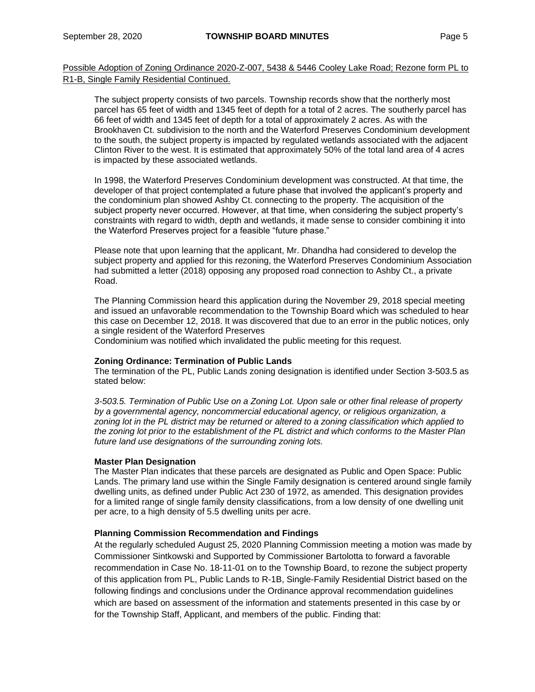Possible Adoption of Zoning Ordinance 2020-Z-007, 5438 & 5446 Cooley Lake Road; Rezone form PL to R1-B, Single Family Residential Continued.

The subject property consists of two parcels. Township records show that the northerly most parcel has 65 feet of width and 1345 feet of depth for a total of 2 acres. The southerly parcel has 66 feet of width and 1345 feet of depth for a total of approximately 2 acres. As with the Brookhaven Ct. subdivision to the north and the Waterford Preserves Condominium development to the south, the subject property is impacted by regulated wetlands associated with the adjacent Clinton River to the west. It is estimated that approximately 50% of the total land area of 4 acres is impacted by these associated wetlands.

In 1998, the Waterford Preserves Condominium development was constructed. At that time, the developer of that project contemplated a future phase that involved the applicant's property and the condominium plan showed Ashby Ct. connecting to the property. The acquisition of the subject property never occurred. However, at that time, when considering the subject property's constraints with regard to width, depth and wetlands, it made sense to consider combining it into the Waterford Preserves project for a feasible "future phase."

Please note that upon learning that the applicant, Mr. Dhandha had considered to develop the subject property and applied for this rezoning, the Waterford Preserves Condominium Association had submitted a letter (2018) opposing any proposed road connection to Ashby Ct., a private Road.

The Planning Commission heard this application during the November 29, 2018 special meeting and issued an unfavorable recommendation to the Township Board which was scheduled to hear this case on December 12, 2018. It was discovered that due to an error in the public notices, only a single resident of the Waterford Preserves

Condominium was notified which invalidated the public meeting for this request.

## **Zoning Ordinance: Termination of Public Lands**

The termination of the PL, Public Lands zoning designation is identified under Section 3-503.5 as stated below:

*3-503.5. Termination of Public Use on a Zoning Lot. Upon sale or other final release of property by a governmental agency, noncommercial educational agency, or religious organization, a zoning lot in the PL district may be returned or altered to a zoning classification which applied to the zoning lot prior to the establishment of the PL district and which conforms to the Master Plan future land use designations of the surrounding zoning lots.*

## **Master Plan Designation**

The Master Plan indicates that these parcels are designated as Public and Open Space: Public Lands. The primary land use within the Single Family designation is centered around single family dwelling units, as defined under Public Act 230 of 1972, as amended. This designation provides for a limited range of single family density classifications, from a low density of one dwelling unit per acre, to a high density of 5.5 dwelling units per acre.

## **Planning Commission Recommendation and Findings**

At the regularly scheduled August 25, 2020 Planning Commission meeting a motion was made by Commissioner Sintkowski and Supported by Commissioner Bartolotta to forward a favorable recommendation in Case No. 18-11-01 on to the Township Board, to rezone the subject property of this application from PL, Public Lands to R-1B, Single-Family Residential District based on the following findings and conclusions under the Ordinance approval recommendation guidelines which are based on assessment of the information and statements presented in this case by or for the Township Staff, Applicant, and members of the public. Finding that: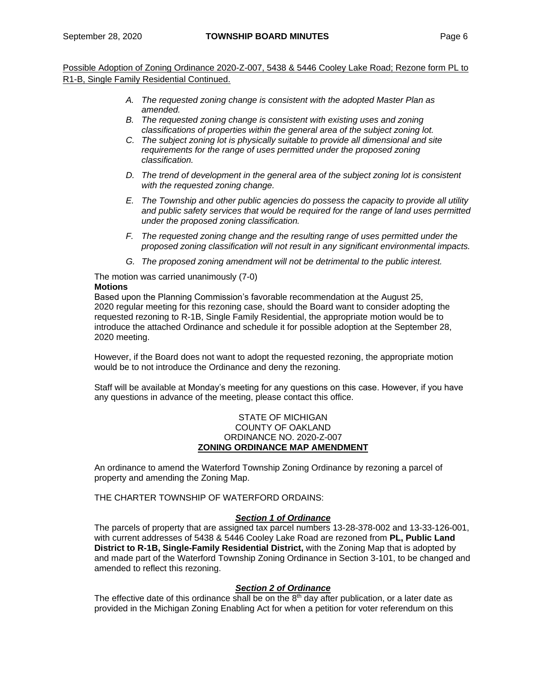Possible Adoption of Zoning Ordinance 2020-Z-007, 5438 & 5446 Cooley Lake Road; Rezone form PL to R1-B, Single Family Residential Continued.

- *A. The requested zoning change is consistent with the adopted Master Plan as amended.*
- *B. The requested zoning change is consistent with existing uses and zoning classifications of properties within the general area of the subject zoning lot.*
- *C. The subject zoning lot is physically suitable to provide all dimensional and site requirements for the range of uses permitted under the proposed zoning classification.*
- *D. The trend of development in the general area of the subject zoning lot is consistent with the requested zoning change.*
- *E. The Township and other public agencies do possess the capacity to provide all utility and public safety services that would be required for the range of land uses permitted under the proposed zoning classification.*
- *F. The requested zoning change and the resulting range of uses permitted under the proposed zoning classification will not result in any significant environmental impacts.*
- *G. The proposed zoning amendment will not be detrimental to the public interest.*

The motion was carried unanimously (7-0) **Motions**

Based upon the Planning Commission's favorable recommendation at the August 25, 2020 regular meeting for this rezoning case, should the Board want to consider adopting the requested rezoning to R-1B, Single Family Residential, the appropriate motion would be to introduce the attached Ordinance and schedule it for possible adoption at the September 28, 2020 meeting.

However, if the Board does not want to adopt the requested rezoning, the appropriate motion would be to not introduce the Ordinance and deny the rezoning.

Staff will be available at Monday's meeting for any questions on this case. However, if you have any questions in advance of the meeting, please contact this office.

### STATE OF MICHIGAN COUNTY OF OAKLAND ORDINANCE NO. 2020-Z-007 **ZONING ORDINANCE MAP AMENDMENT**

An ordinance to amend the Waterford Township Zoning Ordinance by rezoning a parcel of property and amending the Zoning Map.

THE CHARTER TOWNSHIP OF WATERFORD ORDAINS:

## *Section 1 of Ordinance*

The parcels of property that are assigned tax parcel numbers 13-28-378-002 and 13-33-126-001, with current addresses of 5438 & 5446 Cooley Lake Road are rezoned from **PL, Public Land District to R-1B, Single-Family Residential District,** with the Zoning Map that is adopted by and made part of the Waterford Township Zoning Ordinance in Section 3-101, to be changed and amended to reflect this rezoning.

# *Section 2 of Ordinance*

The effective date of this ordinance shall be on the  $8<sup>th</sup>$  day after publication, or a later date as provided in the Michigan Zoning Enabling Act for when a petition for voter referendum on this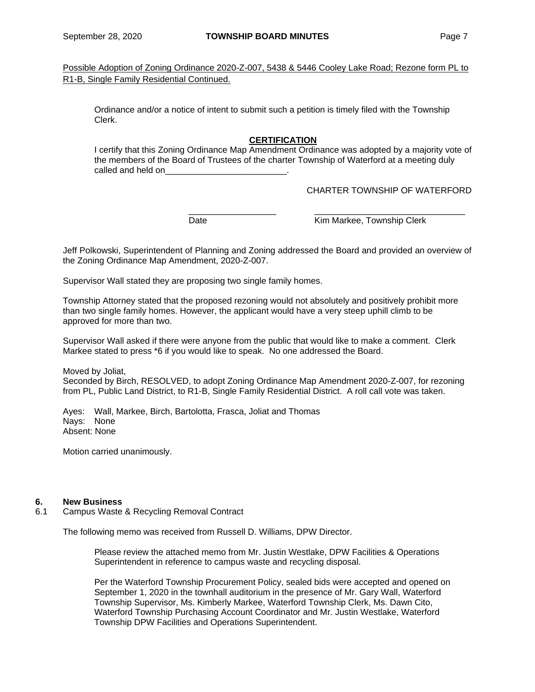Possible Adoption of Zoning Ordinance 2020-Z-007, 5438 & 5446 Cooley Lake Road; Rezone form PL to R1-B, Single Family Residential Continued.

Ordinance and/or a notice of intent to submit such a petition is timely filed with the Township Clerk.

# **CERTIFICATION**

I certify that this Zoning Ordinance Map Amendment Ordinance was adopted by a majority vote of the members of the Board of Trustees of the charter Township of Waterford at a meeting duly called and held on

CHARTER TOWNSHIP OF WATERFORD

\_\_\_\_\_\_\_\_\_\_\_\_\_\_\_\_\_\_ \_\_\_\_\_\_\_\_\_\_\_\_\_\_\_\_\_\_\_\_\_\_\_\_\_\_\_\_\_\_\_ Date **Date** Kim Markee, Township Clerk

Jeff Polkowski, Superintendent of Planning and Zoning addressed the Board and provided an overview of the Zoning Ordinance Map Amendment, 2020-Z-007.

Supervisor Wall stated they are proposing two single family homes.

Township Attorney stated that the proposed rezoning would not absolutely and positively prohibit more than two single family homes. However, the applicant would have a very steep uphill climb to be approved for more than two.

Supervisor Wall asked if there were anyone from the public that would like to make a comment. Clerk Markee stated to press \*6 if you would like to speak. No one addressed the Board.

Moved by Joliat, Seconded by Birch, RESOLVED, to adopt Zoning Ordinance Map Amendment 2020-Z-007, for rezoning from PL, Public Land District, to R1-B, Single Family Residential District. A roll call vote was taken.

Ayes: Wall, Markee, Birch, Bartolotta, Frasca, Joliat and Thomas Nays: None Absent: None

Motion carried unanimously.

## **6. New Business**

6.1 Campus Waste & Recycling Removal Contract

The following memo was received from Russell D. Williams, DPW Director.

Please review the attached memo from Mr. Justin Westlake, DPW Facilities & Operations Superintendent in reference to campus waste and recycling disposal.

Per the Waterford Township Procurement Policy, sealed bids were accepted and opened on September 1, 2020 in the townhall auditorium in the presence of Mr. Gary Wall, Waterford Township Supervisor, Ms. Kimberly Markee, Waterford Township Clerk, Ms. Dawn Cito, Waterford Township Purchasing Account Coordinator and Mr. Justin Westlake, Waterford Township DPW Facilities and Operations Superintendent.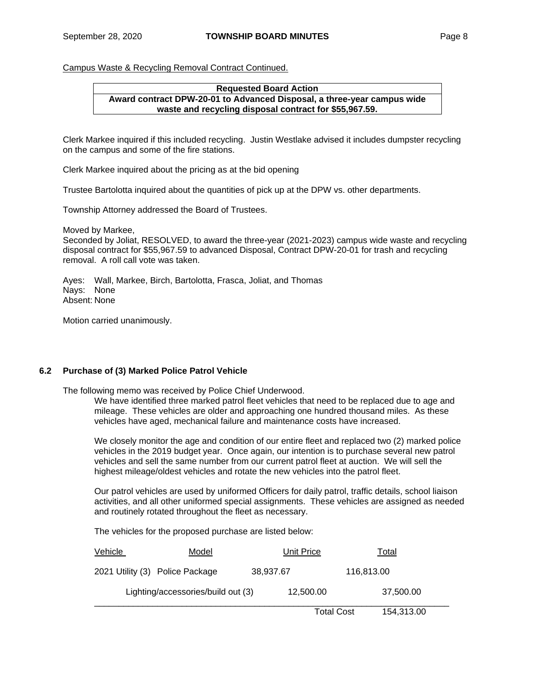Campus Waste & Recycling Removal Contract Continued.

#### **Requested Board Action Award contract DPW-20-01 to Advanced Disposal, a three-year campus wide waste and recycling disposal contract for \$55,967.59.**

Clerk Markee inquired if this included recycling. Justin Westlake advised it includes dumpster recycling on the campus and some of the fire stations.

Clerk Markee inquired about the pricing as at the bid opening

Trustee Bartolotta inquired about the quantities of pick up at the DPW vs. other departments.

Township Attorney addressed the Board of Trustees.

Moved by Markee,

Seconded by Joliat, RESOLVED, to award the three-year (2021-2023) campus wide waste and recycling disposal contract for \$55,967.59 to advanced Disposal, Contract DPW-20-01 for trash and recycling removal. A roll call vote was taken.

Ayes: Wall, Markee, Birch, Bartolotta, Frasca, Joliat, and Thomas Nays: None Absent: None

Motion carried unanimously.

# **6.2 Purchase of (3) Marked Police Patrol Vehicle**

The following memo was received by Police Chief Underwood.

We have identified three marked patrol fleet vehicles that need to be replaced due to age and mileage. These vehicles are older and approaching one hundred thousand miles. As these vehicles have aged, mechanical failure and maintenance costs have increased.

We closely monitor the age and condition of our entire fleet and replaced two (2) marked police vehicles in the 2019 budget year. Once again, our intention is to purchase several new patrol vehicles and sell the same number from our current patrol fleet at auction. We will sell the highest mileage/oldest vehicles and rotate the new vehicles into the patrol fleet.

Our patrol vehicles are used by uniformed Officers for daily patrol, traffic details, school liaison activities, and all other uniformed special assignments. These vehicles are assigned as needed and routinely rotated throughout the fleet as necessary.

The vehicles for the proposed purchase are listed below:

| Vehicle | Model                              | Unit Price |                   | Total      |
|---------|------------------------------------|------------|-------------------|------------|
|         | 2021 Utility (3) Police Package    | 38,937.67  | 116,813.00        |            |
|         | Lighting/accessories/build out (3) |            | 12,500.00         | 37,500.00  |
|         |                                    |            | <b>Total Cost</b> | 154,313.00 |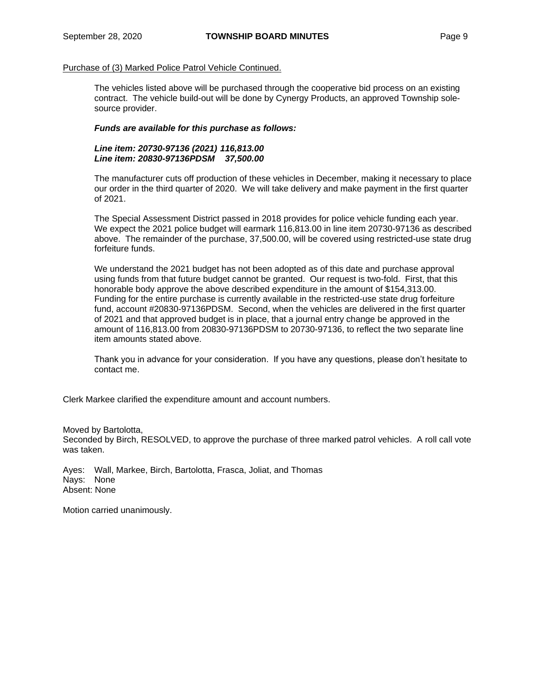### Purchase of (3) Marked Police Patrol Vehicle Continued.

The vehicles listed above will be purchased through the cooperative bid process on an existing contract. The vehicle build-out will be done by Cynergy Products, an approved Township solesource provider.

### *Funds are available for this purchase as follows:*

## *Line item: 20730-97136 (2021) 116,813.00 Line item: 20830-97136PDSM 37,500.00*

The manufacturer cuts off production of these vehicles in December, making it necessary to place our order in the third quarter of 2020. We will take delivery and make payment in the first quarter of 2021.

The Special Assessment District passed in 2018 provides for police vehicle funding each year. We expect the 2021 police budget will earmark 116,813.00 in line item 20730-97136 as described above. The remainder of the purchase, 37,500.00, will be covered using restricted-use state drug forfeiture funds.

We understand the 2021 budget has not been adopted as of this date and purchase approval using funds from that future budget cannot be granted. Our request is two-fold. First, that this honorable body approve the above described expenditure in the amount of \$154,313.00. Funding for the entire purchase is currently available in the restricted-use state drug forfeiture fund, account #20830-97136PDSM. Second, when the vehicles are delivered in the first quarter of 2021 and that approved budget is in place, that a journal entry change be approved in the amount of 116,813.00 from 20830-97136PDSM to 20730-97136, to reflect the two separate line item amounts stated above.

Thank you in advance for your consideration. If you have any questions, please don't hesitate to contact me.

Clerk Markee clarified the expenditure amount and account numbers.

Moved by Bartolotta,

Seconded by Birch, RESOLVED, to approve the purchase of three marked patrol vehicles. A roll call vote was taken.

Ayes: Wall, Markee, Birch, Bartolotta, Frasca, Joliat, and Thomas Nays: None Absent: None

Motion carried unanimously.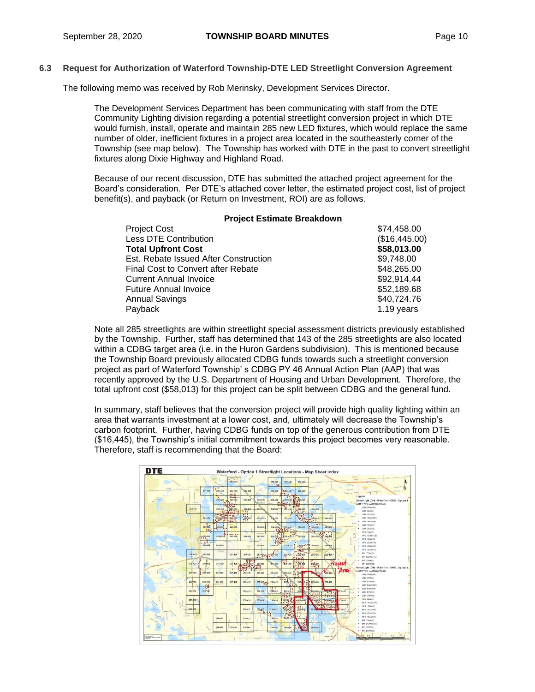# **6.3 Request for Authorization of Waterford Township-DTE LED Streetlight Conversion Agreement**

The following memo was received by Rob Merinsky, Development Services Director.

The Development Services Department has been communicating with staff from the DTE Community Lighting division regarding a potential streetlight conversion project in which DTE would furnish, install, operate and maintain 285 new LED fixtures, which would replace the same number of older, inefficient fixtures in a project area located in the southeasterly corner of the Township (see map below). The Township has worked with DTE in the past to convert streetlight fixtures along Dixie Highway and Highland Road.

Because of our recent discussion, DTE has submitted the attached project agreement for the Board's consideration. Per DTE's attached cover letter, the estimated project cost, list of project benefit(s), and payback (or Return on Investment, ROI) are as follows.

## **Project Estimate Breakdown**

| <b>Project Cost</b>                   | \$74,458.00   |
|---------------------------------------|---------------|
| Less DTE Contribution                 | (\$16,445.00) |
| <b>Total Upfront Cost</b>             | \$58,013.00   |
| Est. Rebate Issued After Construction | \$9,748.00    |
| Final Cost to Convert after Rebate    | \$48,265.00   |
| <b>Current Annual Invoice</b>         | \$92,914.44   |
| <b>Future Annual Invoice</b>          | \$52,189.68   |
| <b>Annual Savings</b>                 | \$40,724.76   |
| Payback                               | 1.19 years    |

Note all 285 streetlights are within streetlight special assessment districts previously established by the Township. Further, staff has determined that 143 of the 285 streetlights are also located within a CDBG target area (i.e. in the Huron Gardens subdivision). This is mentioned because the Township Board previously allocated CDBG funds towards such a streetlight conversion project as part of Waterford Township' s CDBG PY 46 Annual Action Plan (AAP) that was recently approved by the U.S. Department of Housing and Urban Development. Therefore, the total upfront cost (\$58,013) for this project can be split between CDBG and the general fund.

In summary, staff believes that the conversion project will provide high quality lighting within an area that warrants investment at a lower cost, and, ultimately will decrease the Township's carbon footprint. Further, having CDBG funds on top of the generous contribution from DTE (\$16,445), the Township's initial commitment towards this project becomes very reasonable. Therefore, staff is recommending that the Board:

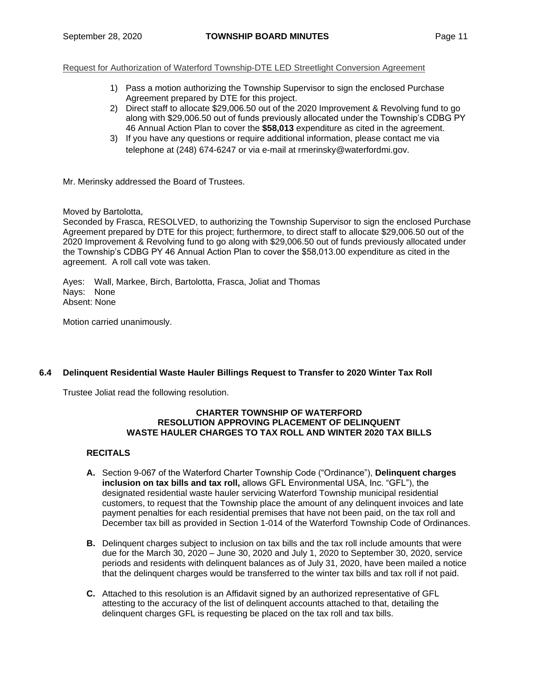## Request for Authorization of Waterford Township-DTE LED Streetlight Conversion Agreement

- 1) Pass a motion authorizing the Township Supervisor to sign the enclosed Purchase Agreement prepared by DTE for this project.
- 2) Direct staff to allocate \$29,006.50 out of the 2020 Improvement & Revolving fund to go along with \$29,006.50 out of funds previously allocated under the Township's CDBG PY 46 Annual Action Plan to cover the **\$58,013** expenditure as cited in the agreement.
- 3) If you have any questions or require additional information, please contact me via telephone at (248) 674-6247 or via e-mail at [rmerinsky@waterfordmi.gov.](mailto:rmerinsky@waterfordmi.gov.)

Mr. Merinsky addressed the Board of Trustees.

Moved by Bartolotta,

Seconded by Frasca, RESOLVED, to authorizing the Township Supervisor to sign the enclosed Purchase Agreement prepared by DTE for this project; furthermore, to direct staff to allocate \$29,006.50 out of the 2020 Improvement & Revolving fund to go along with \$29,006.50 out of funds previously allocated under the Township's CDBG PY 46 Annual Action Plan to cover the \$58,013.00 expenditure as cited in the agreement. A roll call vote was taken.

Ayes: Wall, Markee, Birch, Bartolotta, Frasca, Joliat and Thomas Nays: None Absent: None

Motion carried unanimously.

## **6.4 Delinquent Residential Waste Hauler Billings Request to Transfer to 2020 Winter Tax Roll**

Trustee Joliat read the following resolution.

#### **CHARTER TOWNSHIP OF WATERFORD RESOLUTION APPROVING PLACEMENT OF DELINQUENT WASTE HAULER CHARGES TO TAX ROLL AND WINTER 2020 TAX BILLS**

# **RECITALS**

- **A.** Section 9-067 of the Waterford Charter Township Code ("Ordinance"), **Delinquent charges inclusion on tax bills and tax roll,** allows GFL Environmental USA, Inc. "GFL"), the designated residential waste hauler servicing Waterford Township municipal residential customers, to request that the Township place the amount of any delinquent invoices and late payment penalties for each residential premises that have not been paid, on the tax roll and December tax bill as provided in Section 1-014 of the Waterford Township Code of Ordinances.
- **B.** Delinquent charges subject to inclusion on tax bills and the tax roll include amounts that were due for the March 30, 2020 – June 30, 2020 and July 1, 2020 to September 30, 2020, service periods and residents with delinquent balances as of July 31, 2020, have been mailed a notice that the delinquent charges would be transferred to the winter tax bills and tax roll if not paid.
- **C.** Attached to this resolution is an Affidavit signed by an authorized representative of GFL attesting to the accuracy of the list of delinquent accounts attached to that, detailing the delinquent charges GFL is requesting be placed on the tax roll and tax bills.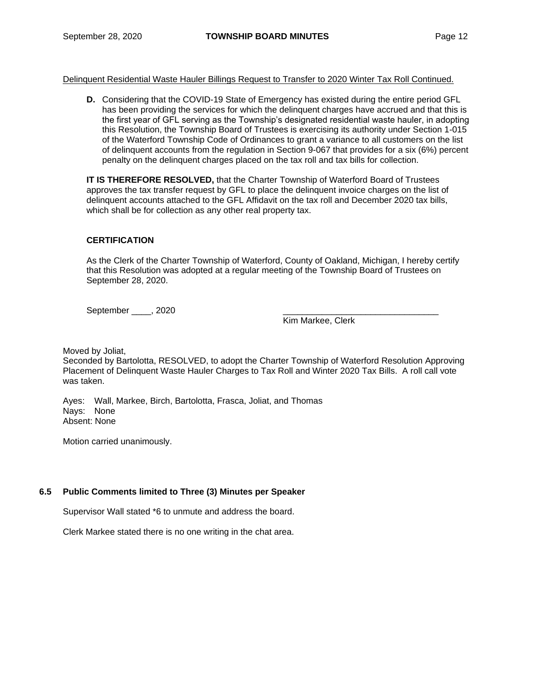### Delinquent Residential Waste Hauler Billings Request to Transfer to 2020 Winter Tax Roll Continued.

**D.** Considering that the COVID-19 State of Emergency has existed during the entire period GFL has been providing the services for which the delinquent charges have accrued and that this is the first year of GFL serving as the Township's designated residential waste hauler, in adopting this Resolution, the Township Board of Trustees is exercising its authority under Section 1-015 of the Waterford Township Code of Ordinances to grant a variance to all customers on the list of delinquent accounts from the regulation in Section 9-067 that provides for a six (6%) percent penalty on the delinquent charges placed on the tax roll and tax bills for collection.

**IT IS THEREFORE RESOLVED,** that the Charter Township of Waterford Board of Trustees approves the tax transfer request by GFL to place the delinquent invoice charges on the list of delinquent accounts attached to the GFL Affidavit on the tax roll and December 2020 tax bills, which shall be for collection as any other real property tax.

## **CERTIFICATION**

As the Clerk of the Charter Township of Waterford, County of Oakland, Michigan, I hereby certify that this Resolution was adopted at a regular meeting of the Township Board of Trustees on September 28, 2020.

September \_\_\_\_\_, 2020

Kim Markee, Clerk

Moved by Joliat,

Seconded by Bartolotta, RESOLVED, to adopt the Charter Township of Waterford Resolution Approving Placement of Delinquent Waste Hauler Charges to Tax Roll and Winter 2020 Tax Bills. A roll call vote was taken.

Ayes: Wall, Markee, Birch, Bartolotta, Frasca, Joliat, and Thomas Nays: None Absent: None

Motion carried unanimously.

## **6.5 Public Comments limited to Three (3) Minutes per Speaker**

Supervisor Wall stated \*6 to unmute and address the board.

Clerk Markee stated there is no one writing in the chat area.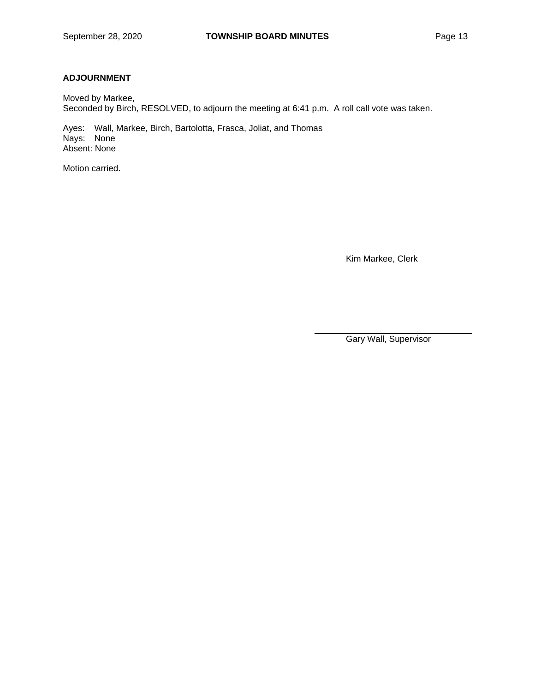# **ADJOURNMENT**

Moved by Markee, Seconded by Birch, RESOLVED, to adjourn the meeting at 6:41 p.m. A roll call vote was taken.

Ayes: Wall, Markee, Birch, Bartolotta, Frasca, Joliat, and Thomas Nays: None Absent: None

Motion carried.

Kim Markee, Clerk

Gary Wall, Supervisor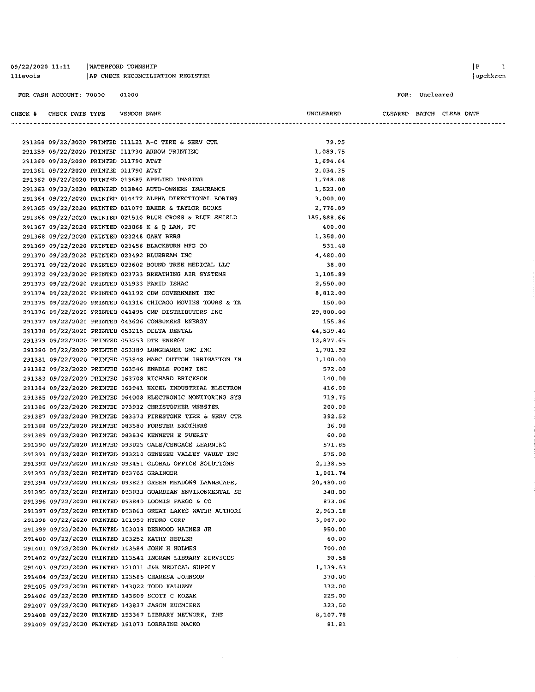| 09/22/2020 11:11 | WATERFORD TOWNSHIP               |
|------------------|----------------------------------|
| llievois         | AP CHECK RECONCILIATION REGISTER |

FOR: Uncleared

| CHECK # CHECK DATE TYPE VENDOR NAME         |  |                                                                                                                    | UNCLEARED  | CLEARED BATCH CLEAR DATE |  |  |
|---------------------------------------------|--|--------------------------------------------------------------------------------------------------------------------|------------|--------------------------|--|--|
|                                             |  | -------------------------------                                                                                    | . <i>.</i> |                          |  |  |
|                                             |  |                                                                                                                    |            |                          |  |  |
|                                             |  | 291358 09/22/2020 PRINTED 011121 A-C TIRE & SERV CTR<br>291359 09/22/2020 PRINTED 011730 ARROW PRINTING            | 79.95      |                          |  |  |
|                                             |  |                                                                                                                    | 1,089.75   |                          |  |  |
| 291360 09/22/2020 PRINTED 011790 AT&T       |  |                                                                                                                    | 1,694.64   |                          |  |  |
| 291361 09/22/2020 PRINTED 011790 AT&T       |  |                                                                                                                    | 2,034.35   |                          |  |  |
|                                             |  | 291362 09/22/2020 PRINTED 013685 APPLIED IMAGING                                                                   | 1,748.08   |                          |  |  |
|                                             |  | 291363 09/22/2020 PRINTED 013840 AUTO-OWNERS INSURANCE                                                             | 1,523.00   |                          |  |  |
|                                             |  | 291364 09/22/2020 PRINTED 014472 ALPHA DIRECTIONAL BORING                                                          | 3,000.00   |                          |  |  |
|                                             |  | 291365 09/22/2020 PRINTED 021079 BAKER & TAYLOR BOOKS<br>291366 09/22/2020 PRINTED 021510 BLUE CROSS & BLUE SHIELD | 2,776.89   |                          |  |  |
|                                             |  |                                                                                                                    | 185,888.66 |                          |  |  |
|                                             |  | 291367 09/22/2020 PRINTED 023068 K & Q LAW, PC                                                                     | 400.00     |                          |  |  |
| 291368 09/22/2020 PRINTED 023248 GARY BERG  |  |                                                                                                                    | 1,350.00   |                          |  |  |
|                                             |  | 291369 09/22/2020 PRINTED 023456 BLACKBURN MFG CO                                                                  | 531.48     |                          |  |  |
|                                             |  | 291370 09/22/2020 PRINTED 023492 BLUEBEAM INC                                                                      | 4,480.00   |                          |  |  |
|                                             |  | 291371 09/22/2020 PRINTED 023602 BOUND TREE MEDICAL LLC                                                            | 38.00      |                          |  |  |
|                                             |  | 291372 09/22/2020 PRINTED 023733 BREATHING AIR SYSTEMS                                                             | 1,105.89   |                          |  |  |
|                                             |  | 291373 09/22/2020 PRINTED 031933 FARID ISHAC                                                                       | 2,550.00   |                          |  |  |
|                                             |  | 291374 09/22/2020 PRINTED 041192 CDW GOVERNMENT INC                                                                | 8,812.00   |                          |  |  |
|                                             |  | 291375 09/22/2020 PRINTED 041316 CHICAGO MOVIES TOURS & TA                                                         | 150.00     |                          |  |  |
|                                             |  | 291376 09/22/2020 PRINTED 041495 CMP DISTRIBUTORS INC                                                              | 29,800.00  |                          |  |  |
|                                             |  | 291377 09/22/2020 PRINTED 043626 CONSUMERS ENERGY                                                                  | 155.86     |                          |  |  |
|                                             |  | 291378 09/22/2020 PRINTED 053215 DELTA DENTAL                                                                      | 44,539.46  |                          |  |  |
| 291379 09/22/2020 PRINTED 053253 DTE ENERGY |  |                                                                                                                    | 12,877.65  |                          |  |  |
|                                             |  | 291380 09/22/2020 PRINTED 053389 LUNGHAMER GMC INC                                                                 | 1,781.92   |                          |  |  |
|                                             |  | 291381 09/22/2020 PRINTED 053848 MARC DUTTON IRRIGATION IN                                                         | 1,100.00   |                          |  |  |
|                                             |  | 291382 09/22/2020 PRINTED 063546 ENABLE POINT INC                                                                  | 572.00     |                          |  |  |
|                                             |  | 291383 09/22/2020 PRINTED 063708 RICHARD ERICKSON                                                                  | 140.00     |                          |  |  |
|                                             |  | 291384 09/22/2020 PRINTED 063941 EXCEL INDUSTRIAL ELECTRON                                                         | 416.00     |                          |  |  |
|                                             |  | 291385 09/22/2020 PRINTED 064008 ELECTRONIC MONITORING SYS                                                         | 719.75     |                          |  |  |
|                                             |  | 291386 09/22/2020 PRINTED 073932 CHRISTOPHER WEBSTER                                                               | 200.00     |                          |  |  |
|                                             |  | 291387 09/22/2020 PRINTED 083373 FIRESTONE TIRE & SERV CTR                                                         | 392.52     |                          |  |  |
|                                             |  | 291388 09/22/2020 PRINTED 083580 FORSTER BROTHERS                                                                  | 36.00      |                          |  |  |
|                                             |  | 291389 09/22/2020 PRINTED 083836 KENNETH E FUERST                                                                  | 60.00      |                          |  |  |
|                                             |  | 291390 09/22/2020 PRINTED 093025 GALE/CENGAGE LEARNING                                                             | 571.85     |                          |  |  |
|                                             |  | 291391 09/22/2020 PRINTED 093210 GENESEE VALLEY VAULT INC                                                          | 575.00     |                          |  |  |
|                                             |  | 291392 09/22/2020 PRINTED 093451 GLOBAL OFFICE SOLUTIONS                                                           | 2,138.55   |                          |  |  |
| 291393 09/22/2020 PRINTED 093705 GRAINGER   |  |                                                                                                                    | 1,001.74   |                          |  |  |
|                                             |  | 291394 09/22/2020 PRINTED 093823 GREEN MEADOWS LAWNSCAPE,                                                          | 20,480.00  |                          |  |  |
|                                             |  | 291395 09/22/2020 PRINTED 093833 GUARDIAN ENVIRONMENTAL SE                                                         | 348.00     |                          |  |  |
|                                             |  | 291396 09/22/2020 PRINTED 093840 LOOMIS FARGO & CO                                                                 | 873.06     |                          |  |  |
|                                             |  | 291397 09/22/2020 PRINTED 093863 GREAT LAKES WATER AUTHORI                                                         | 2,963.18   |                          |  |  |
| 291398 09/22/2020 PRINTED 101950 HYDRO CORP |  |                                                                                                                    | 3,067.00   |                          |  |  |
|                                             |  | 291399 09/22/2020 PRINTED 103018 DERWOOD HAINES JR                                                                 | 950.00     |                          |  |  |
|                                             |  | 291400 09/22/2020 PRINTED 103252 KATHY HEPLER                                                                      | 60.00      |                          |  |  |
|                                             |  | 291401 09/22/2020 PRINTED 103584 JOHN H HOLMES                                                                     | 700.00     |                          |  |  |
|                                             |  | 291402 09/22/2020 PRINTED 113542 INGRAM LIBRARY SERVICES                                                           | 98.58      |                          |  |  |
|                                             |  | 291403 09/22/2020 PRINTED 121011 J&B MEDICAL SUPPLY                                                                | 1,139.53   |                          |  |  |
|                                             |  | 291404 09/22/2020 PRINTED 123585 CHARESA JOHNSON                                                                   | 370.00     |                          |  |  |
|                                             |  | 291405 09/22/2020 PRINTED 143022 TODD KALUZNY                                                                      | 332.00     |                          |  |  |
|                                             |  | 291406 09/22/2020 PRINTED 143600 SCOTT C KOZAK                                                                     | 225.00     |                          |  |  |
|                                             |  | 291407 09/22/2020 PRINTED 143837 JASON KUCMIERZ                                                                    | 323.50     |                          |  |  |
|                                             |  | 291408 09/22/2020 PRINTED 153367 LIBRARY NETWORK, THE                                                              | 8,107.78   |                          |  |  |
|                                             |  | 291409 09/22/2020 PRINTED 161073 LORRAINE MACKO                                                                    | 81.81      |                          |  |  |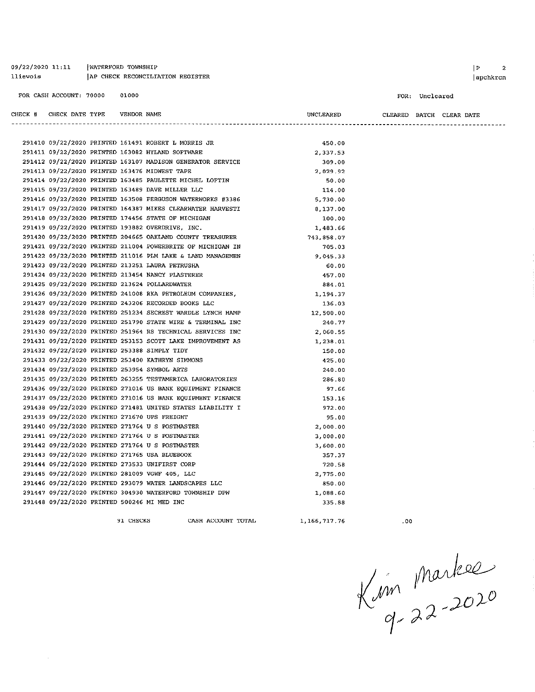| 09/22/2020 11:11 | WATERFORD TOWNSHIP               |
|------------------|----------------------------------|
| llievois         | AP CHECK RECONCILIATION REGISTER |
|                  |                                  |

FOR: Uncleared

| CHECK # CHECK DATE TYPE    VENDOR NAME           |  |                                                            |  | UNCLEARED  |  | CLEARED BATCH CLEAR DATE |  |  |
|--------------------------------------------------|--|------------------------------------------------------------|--|------------|--|--------------------------|--|--|
|                                                  |  |                                                            |  |            |  |                          |  |  |
|                                                  |  |                                                            |  |            |  |                          |  |  |
|                                                  |  | 291410 09/22/2020 PRINTED 161491 ROBERT L MORRIS JR        |  | 450.00     |  |                          |  |  |
| 291411 09/22/2020 PRINTED 163082 HYLAND SOFTWARE |  |                                                            |  | 2,337.53   |  |                          |  |  |
|                                                  |  | 291412 09/22/2020 PRINTED 163107 MADISON GENERATOR SERVICE |  | 309.00     |  |                          |  |  |
| 291413 09/22/2020 PRINTED 163476 MIDWEST TAPE    |  |                                                            |  | 2,029.92   |  |                          |  |  |
|                                                  |  | 291414 09/22/2020 PRINTED 163485 PAULETTE MICHEL LOFTIN    |  | 50.00      |  |                          |  |  |
| 291415 09/22/2020 PRINTED 163489 DAVE MILLER LLC |  |                                                            |  | 114.00     |  |                          |  |  |
|                                                  |  | 291416 09/22/2020 PRINTED 163508 FERGUSON WATERWORKS #3386 |  | 5,730.00   |  |                          |  |  |
|                                                  |  | 291417 09/22/2020 PRINTED 164387 MIKES CLEARWATER HARVESTI |  | 8,137.00   |  |                          |  |  |
|                                                  |  | 291418 09/22/2020 PRINTED 174456 STATE OF MICHIGAN         |  | 100.00     |  |                          |  |  |
| 291419 09/22/2020 PRINTED 193882 OVERDRIVE, INC. |  |                                                            |  | 1,483.66   |  |                          |  |  |
|                                                  |  | 291420 09/22/2020 PRINTED 204665 OAKLAND COUNTY TREASURER  |  | 743,858.07 |  |                          |  |  |
|                                                  |  | 291421 09/22/2020 PRINTED 211004 POWERBRITE OF MICHIGAN IN |  | 705.03     |  |                          |  |  |
|                                                  |  | 291422 09/22/2020 PRINTED 211016 PLM LAKE & LAND MANAGEMEN |  | 9,045.33   |  |                          |  |  |
| 291423 09/22/2020 PRINTED 213251 LAURA PETRUSHA  |  |                                                            |  | 60.00      |  |                          |  |  |
| 291424 09/22/2020 PRINTED 213454 NANCY PLASTERER |  |                                                            |  | 457.00     |  |                          |  |  |
| 291425 09/22/2020 PRINTED 213624 POLLARDWATER    |  |                                                            |  | 884.01     |  |                          |  |  |
|                                                  |  | 291426 09/22/2020 PRINTED 241008 RKA PETROLEUM COMPANIES,  |  | 1,194.37   |  |                          |  |  |
|                                                  |  | 291427 09/22/2020 PRINTED 243206 RECORDED BOOKS LLC        |  | 136.03     |  |                          |  |  |
|                                                  |  | 291428 09/22/2020 PRINTED 251234 SECREST WARDLE LYNCH HAMP |  | 12,500.00  |  |                          |  |  |
|                                                  |  | 291429 09/22/2020 PRINTED 251790 STATE WIRE & TERMINAL INC |  | 240.77     |  |                          |  |  |
|                                                  |  | 291430 09/22/2020 PRINTED 251964 RS TECHNICAL SERVICES INC |  | 2,060.55   |  |                          |  |  |
|                                                  |  | 291431 09/22/2020 PRINTED 253153 SCOTT LAKE IMPROVEMENT AS |  | 1,238.01   |  |                          |  |  |
| 291432 09/22/2020 PRINTED 253388 SIMPLY TIDY     |  |                                                            |  | 150.00     |  |                          |  |  |
| 291433 09/22/2020 PRINTED 253400 KATHRYN SIMMONS |  |                                                            |  | 425.00     |  |                          |  |  |
| 291434 09/22/2020 PRINTED 253954 SYMBOL ARTS     |  |                                                            |  | 240.00     |  |                          |  |  |
|                                                  |  | 291435 09/22/2020 PRINTED 263255 TESTAMERICA LABORATORIES  |  | 286.80     |  |                          |  |  |
|                                                  |  | 291436 09/22/2020 PRINTED 271016 US BANK EQUIPMENT FINANCE |  | 97.66      |  |                          |  |  |
|                                                  |  | 291437 09/22/2020 PRINTED 271016 US BANK EQUIPMENT FINANCE |  | 153.16     |  |                          |  |  |
|                                                  |  | 291438 09/22/2020 PRINTED 271481 UNITED STATES LIABILITY I |  | 972.00     |  |                          |  |  |
| 291439 09/22/2020 PRINTED 271670 UPS FREIGHT     |  |                                                            |  | 95.00      |  |                          |  |  |
| 291440 09/22/2020 PRINTED 271764 U S POSTMASTER  |  |                                                            |  | 2,000.00   |  |                          |  |  |
| 291441 09/22/2020 PRINTED 271764 U S POSTMASTER  |  |                                                            |  | 3,000.00   |  |                          |  |  |
| 291442 09/22/2020 PRINTED 271764 U S POSTMASTER  |  |                                                            |  | 3,600.00   |  |                          |  |  |
| 291443 09/22/2020 PRINTED 271765 USA BLUEBOOK    |  |                                                            |  | 357.37     |  |                          |  |  |
| 291444 09/22/2020 PRINTED 273533 UNIFIRST CORP   |  |                                                            |  | 720.58     |  |                          |  |  |
| 291445 09/22/2020 PRINTED 281009 VGWF 405, LLC   |  |                                                            |  | 2,775.00   |  |                          |  |  |
|                                                  |  | 291446 09/22/2020 PRINTED 293079 WATER LANDSCAPES LLC      |  | 850.00     |  |                          |  |  |
|                                                  |  | 291447 09/22/2020 PRINTED 304930 WATERFORD TOWNSHIP DPW    |  | 1,088.60   |  |                          |  |  |
| 291448 09/22/2020 PRINTED 500246 MI MED INC      |  |                                                            |  | 335.88     |  |                          |  |  |
|                                                  |  |                                                            |  |            |  |                          |  |  |

91 CHECKS

CASH ACCOUNT TOTAL

1,166,717.76

 $.00$ 

K Mm Markee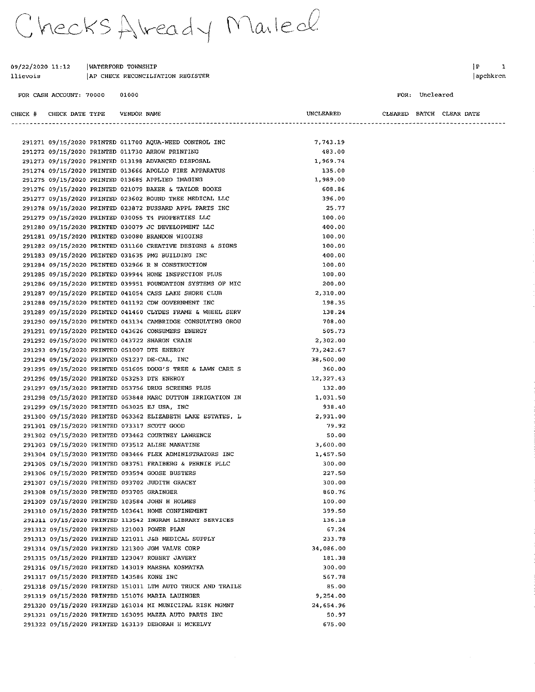Checks Already Mailed.

WATERFORD TOWNSHIP

291317 09/15/2020 PRINTED 143586 KONE INC

291319 09/15/2020 PRINTED 151076 MARIA LAUINGER

291318 09/15/2020 PRINTED 151011 LTM AUTO TRUCK AND TRAILE

291320 09/15/2020 PRINTED 161014 MI MUNICIPAL RISK MGMNT

291321 09/15/2020 PRINTED 163095 MAZZA AUTO PARTS INC

291322 09/15/2020 PRINTED 163139 DEBORAH H MCKELVY

09/22/2020 11:12

|                                     | AP CHECK RECONCILIATION REGISTER<br>llievois |  |       |                                                            |            | apchkrcn                 |                |  |
|-------------------------------------|----------------------------------------------|--|-------|------------------------------------------------------------|------------|--------------------------|----------------|--|
| FOR CASH ACCOUNT: 70000             |                                              |  | 01000 |                                                            |            |                          | FOR: Uncleared |  |
| CHECK # CHECK DATE TYPE VENDOR NAME |                                              |  |       |                                                            | UNCLEARED  | CLEARED BATCH CLEAR DATE |                |  |
|                                     |                                              |  |       |                                                            |            |                          |                |  |
|                                     |                                              |  |       | 291271 09/15/2020 PRINTED 011700 AQUA-WEED CONTROL INC     | 7,743.19   |                          |                |  |
|                                     |                                              |  |       | 291272 09/15/2020 PRINTED 011730 ARROW PRINTING            | 483.00     |                          |                |  |
|                                     |                                              |  |       | 291273 09/15/2020 PRINTED 013198 ADVANCED DISPOSAL         | 1,969.74   |                          |                |  |
|                                     |                                              |  |       | 291274 09/15/2020 PRINTED 013666 APOLLO FIRE APPARATUS     | 135.00     |                          |                |  |
|                                     |                                              |  |       | 291275 09/15/2020 PRINTED 013685 APPLIED IMAGING           | 1,989.00   |                          |                |  |
|                                     |                                              |  |       | 291276 09/15/2020 PRINTED 021079 BAKER & TAYLOR BOOKS      | 608.86     |                          |                |  |
|                                     |                                              |  |       | 291277 09/15/2020 PRINTED 023602 BOUND TREE MEDICAL LLC    | 396.00     |                          |                |  |
|                                     |                                              |  |       | 291278 09/15/2020 PRINTED 023872 BUSSARD APPL PARTS INC    | - 25.77    |                          |                |  |
|                                     |                                              |  |       | 291279 09/15/2020 PRINTED 030055 T4 PROPERTIES LLC         | 100.00     |                          |                |  |
|                                     |                                              |  |       | 291280 09/15/2020 PRINTED 030079 JC DEVELOPMENT LLC        | 400.00     |                          |                |  |
|                                     |                                              |  |       | 291281 09/15/2020 PRINTED 030080 BRANDON WIGGINS           | 100.00     |                          |                |  |
|                                     |                                              |  |       | 291282 09/15/2020 PRINTED 031160 CREATIVE DESIGNS & SIGNS  | 100.00     |                          |                |  |
|                                     |                                              |  |       | 291283 09/15/2020 PRINTED 031635 PMG BUILDING INC          | 400.00     |                          |                |  |
|                                     |                                              |  |       | 291284 09/15/2020 PRINTED 032966 R N CONSTRUCTION          | 100.00     |                          |                |  |
|                                     |                                              |  |       | 291285 09/15/2020 PRINTED 039944 HOME INSPECTION PLUS      | 100.00     |                          |                |  |
|                                     |                                              |  |       | 291286 09/15/2020 PRINTED 039951 FOUNDATION SYSTEMS OF MIC | 200.00     |                          |                |  |
|                                     |                                              |  |       | 291287 09/15/2020 PRINTED 041054 CASS LAKE SHORE CLUB      | 2,310.00   |                          |                |  |
|                                     |                                              |  |       | 291288 09/15/2020 PRINTED 041192 CDW GOVERNMENT INC        | 198.35     |                          |                |  |
|                                     |                                              |  |       | 291289 09/15/2020 PRINTED 041460 CLYDES FRAME & WHEEL SERV | 138.24     |                          |                |  |
|                                     |                                              |  |       | 291290 09/15/2020 PRINTED 043134 CAMBRIDGE CONSULTING GROU | 708.00     |                          |                |  |
|                                     |                                              |  |       | 291291 09/15/2020 PRINTED 043626 CONSUMERS ENERGY          | 505.73     |                          |                |  |
|                                     |                                              |  |       | 291292 09/15/2020 PRINTED 043722 SHARON CRAIN              | 2,302.00   |                          |                |  |
|                                     |                                              |  |       | 291293 09/15/2020 PRINTED 051007 DTE ENERGY                | 73, 242.67 |                          |                |  |
|                                     |                                              |  |       | 291294 09/15/2020 PRINTED 051237 DE-CAL, INC               | 38,500.00  |                          |                |  |
|                                     |                                              |  |       | 291295 09/15/2020 PRINTED 051605 DOUG'S TREE & LAWN CARE S | 360.00     |                          |                |  |
|                                     |                                              |  |       | 291296 09/15/2020 PRINTED 053253 DTE ENERGY                | 12,327.43  |                          |                |  |
|                                     |                                              |  |       | 291297 09/15/2020 PRINTED 053756 DRUG SCREENS PLUS         | 132.00     |                          |                |  |
|                                     |                                              |  |       | 291298 09/15/2020 PRINTED 053848 MARC DUTTON IRRIGATION IN | 1,031.50   |                          |                |  |
|                                     |                                              |  |       | 291299 09/15/2020 PRINTED 063025 EJ USA, INC               | 938.40     |                          |                |  |
|                                     |                                              |  |       | 291300 09/15/2020 PRINTED 063362 ELIZABETH LAKE ESTATES, L | 2,931.00   |                          |                |  |
|                                     |                                              |  |       | 291301 09/15/2020 PRINTED 073317 SCOTT GOOD                | 79.92      |                          |                |  |
|                                     |                                              |  |       | 291302 09/15/2020 PRINTED 073462 COURTNEY LAWRENCE         | 50.00      |                          |                |  |
|                                     |                                              |  |       | 291303 09/15/2020 PRINTED 073512 ALISE MANATINE            | 3,600.00   |                          |                |  |
|                                     |                                              |  |       | 291304 09/15/2020 PRINTED 083466 FLEX ADMINISTRATORS INC   | 1,457.50   |                          |                |  |
|                                     |                                              |  |       | 291305 09/15/2020 PRINTED 083751 FRAIBERG & PERNIE PLLC    | 300.00     |                          |                |  |
|                                     |                                              |  |       | 291306 09/15/2020 PRINTED 093594 GOOSE BUSTERS             | 227.50     |                          |                |  |
|                                     |                                              |  |       | 291307 09/15/2020 PRINTED 093702 JUDITH GRACEY             | 300.00     |                          |                |  |
|                                     |                                              |  |       | 291308 09/15/2020 PRINTED 093705 GRAINGER                  | 860.76     |                          |                |  |
|                                     |                                              |  |       | 291309 09/15/2020 PRINTED 103584 JOHN H HOLMES             | 100.00     |                          |                |  |
|                                     |                                              |  |       | 291310 09/15/2020 PRINTED 103641 HOME CONFINEMENT          | 399.50     |                          |                |  |
|                                     |                                              |  |       | 291311 09/15/2020 PRINTED 113542 INGRAM LIBRARY SERVICES   | 136.18     |                          |                |  |
|                                     |                                              |  |       | 291312 09/15/2020 PRINTED 121003 POWER PLAN                | 67.24      |                          |                |  |
|                                     |                                              |  |       | 291313 09/15/2020 PRINTED 121011 J&B MEDICAL SUPPLY        | 233.78     |                          |                |  |
|                                     |                                              |  |       | 291314 09/15/2020 PRINTED 121300 JGM VALVE CORP            | 34,086.00  |                          |                |  |
|                                     |                                              |  |       | 291315 09/15/2020 PRINTED 123047 ROBERT JAVERY             | 181.38     |                          |                |  |
|                                     |                                              |  |       | 291316 09/15/2020 PRINTED 143019 MARSHA KOSMATKA           | 300.00     |                          |                |  |

 $\begin{array}{ccc} \mid P & \hspace{1.6cm} & \hspace{1.6cm} \textbf{1} \end{array}$ apchkrcn

567.78

85.00

50.97 675.00

9,254.00

24,654.96

 $\alpha$ 

 $\sim$